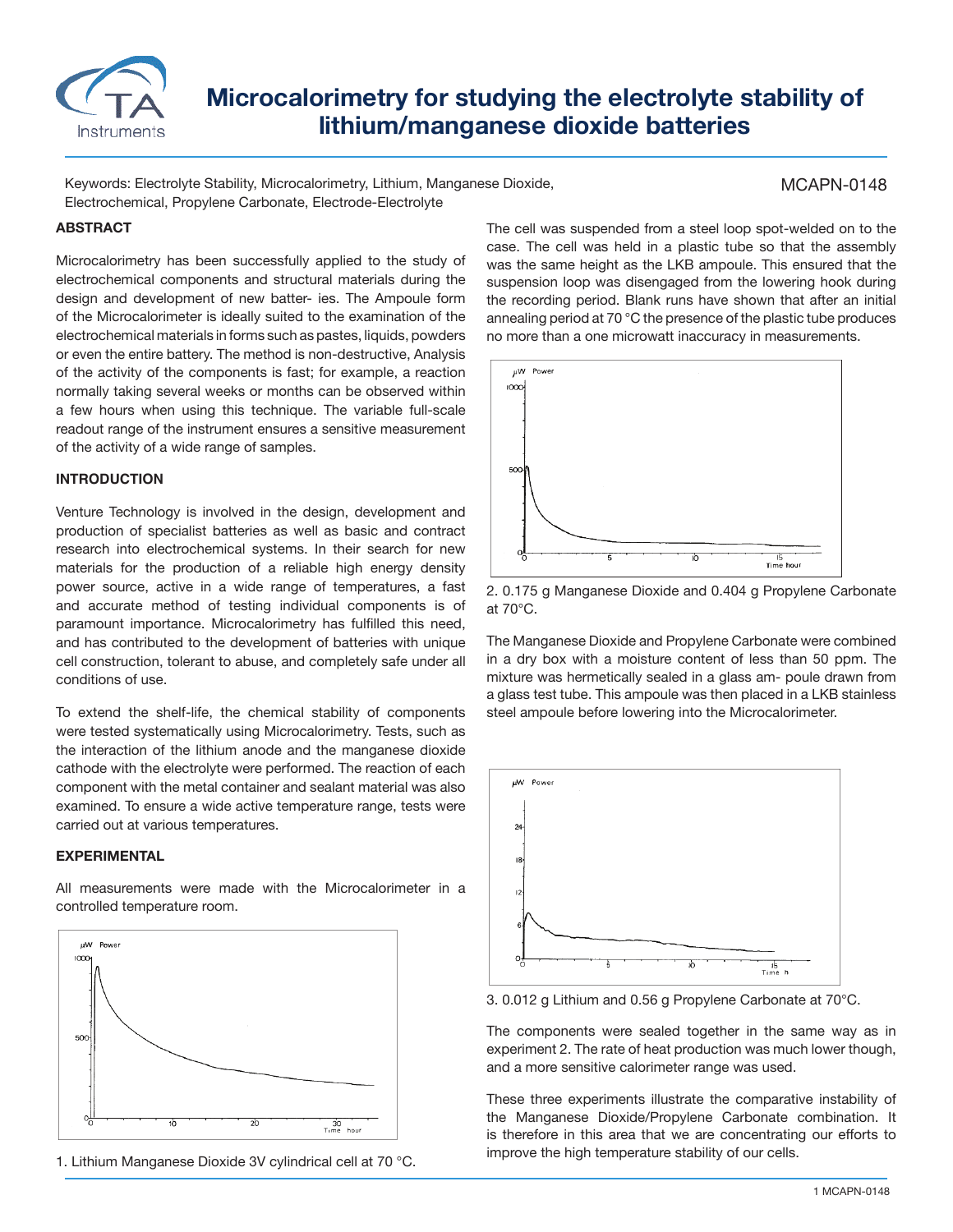

# **Microcalorimetry for studying the electrolyte stability of lithium/manganese dioxide batteries**

Keywords: Electrolyte Stability, Microcalorimetry, Lithium, Manganese Dioxide, Electrochemical, Propylene Carbonate, Electrode-Electrolyte

### MCAPN-0148

#### **ABSTRACT**

Microcalorimetry has been successfully applied to the study of electrochemical components and structural materials during the design and development of new batter- ies. The Ampoule form of the Microcalorimeter is ideally suited to the examination of the electrochemical materials in forms such as pastes, liquids, powders or even the entire battery. The method is non-destructive, Analysis of the activity of the components is fast; for example, a reaction normally taking several weeks or months can be observed within a few hours when using this technique. The variable full-scale readout range of the instrument ensures a sensitive measurement of the activity of a wide range of samples.

#### **INTRODUCTION**

Venture Technology is involved in the design, development and production of specialist batteries as well as basic and contract research into electrochemical systems. In their search for new materials for the production of a reliable high energy density power source, active in a wide range of temperatures, a fast and accurate method of testing individual components is of paramount importance. Microcalorimetry has fulfilled this need, and has contributed to the development of batteries with unique cell construction, tolerant to abuse, and completely safe under all conditions of use.

To extend the shelf-life, the chemical stability of components were tested systematically using Microcalorimetry. Tests, such as the interaction of the lithium anode and the manganese dioxide cathode with the electrolyte were performed. The reaction of each component with the metal container and sealant material was also examined. To ensure a wide active temperature range, tests were carried out at various temperatures.

## **EXPERIMENTAL**

All measurements were made with the Microcalorimeter in a controlled temperature room.



1. Lithium Manganese Dioxide 3V cylindrical cell at 70 °C.

The cell was suspended from a steel loop spot-welded on to the case. The cell was held in a plastic tube so that the assembly was the same height as the LKB ampoule. This ensured that the suspension loop was disengaged from the lowering hook during the recording period. Blank runs have shown that after an initial annealing period at 70 °C the presence of the plastic tube produces no more than a one microwatt inaccuracy in measurements.



2. 0.175 g Manganese Dioxide and 0.404 g Propylene Carbonate at 70°C.

The Manganese Dioxide and Propylene Carbonate were combined in a dry box with a moisture content of less than 50 ppm. The mixture was hermetically sealed in a glass am- poule drawn from a glass test tube. This ampoule was then placed in a LKB stainless steel ampoule before lowering into the Microcalorimeter.



3. 0.012 g Lithium and 0.56 g Propylene Carbonate at 70°C.

The components were sealed together in the same way as in experiment 2. The rate of heat production was much lower though, and a more sensitive calorimeter range was used.

These three experiments illustrate the comparative instability of the Manganese Dioxide/Propylene Carbonate combination. It is therefore in this area that we are concentrating our efforts to improve the high temperature stability of our cells.